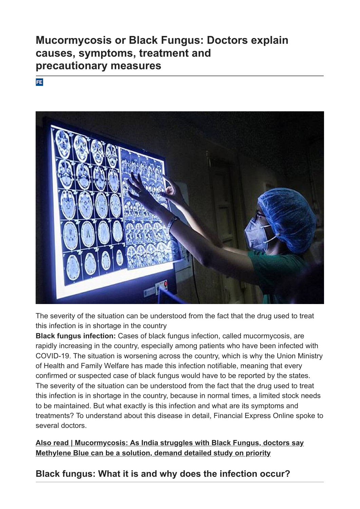# **Mucormycosis or Black Fungus: Doctors explain causes, symptoms, treatment and precautionary measures**

#### **FE**



The severity of the situation can be understood from the fact that the drug used to treat this infection is in shortage in the country

**Black fungus infection:** Cases of black fungus infection, called mucormycosis, are rapidly increasing in the country, especially among patients who have been infected with COVID-19. The situation is worsening across the country, which is why the Union Ministry of Health and Family Welfare has made this infection notifiable, meaning that every confirmed or suspected case of black fungus would have to be reported by the states. The severity of the situation can be understood from the fact that the drug used to treat this infection is in shortage in the country, because in normal times, a limited stock needs to be maintained. But what exactly is this infection and what are its symptoms and treatments? To understand about this disease in detail, Financial Express Online spoke to several doctors.

#### **[Also read | Mucormycosis: As India struggles with Black Fungus, doctors say](https://www.financialexpress.com/lifestyle/health/black-fungus-infection-how-to-prevent-treatment-of-mucormycosis-methylene-blue-can-prevent-black-fungus-suggest-doctors/2258691/) Methylene Blue can be a solution, demand detailed study on priority**

# **Black fungus: What it is and why does the infection occur?**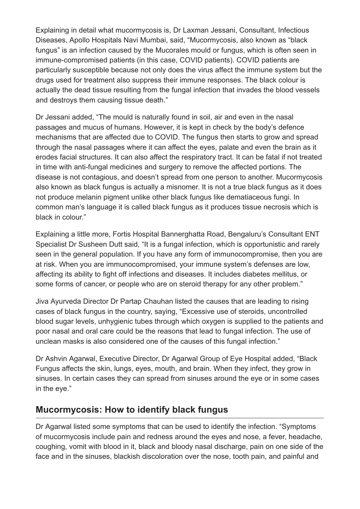Explaining in detail what mucormycosis is, Dr Laxman Jessani, Consultant, Infectious Diseases, Apollo Hospitals Navi Mumbai, said, "Mucormycosis, also known as "black fungus" is an infection caused by the Mucorales mould or fungus, which is often seen in immune-compromised patients (in this case, COVID patients). COVID patients are particularly susceptible because not only does the virus affect the immune system but the drugs used for treatment also suppress their immune responses. The black colour is actually the dead tissue resulting from the fungal infection that invades the blood vessels and destroys them causing tissue death."

Dr Jessani added, "The mould is naturally found in soil, air and even in the nasal passages and mucus of humans. However, it is kept in check by the body's defence mechanisms that are affected due to COVID. The fungus then starts to grow and spread through the nasal passages where it can affect the eyes, palate and even the brain as it erodes facial structures. It can also affect the respiratory tract. It can be fatal if not treated in time with anti-fungal medicines and surgery to remove the affected portions. The disease is not contagious, and doesn't spread from one person to another. Mucormycosis also known as black fungus is actually a misnomer. It is not a true black fungus as it does not produce melanin pigment unlike other black fungus like dematiaceous fungi. In common man's language it is called black fungus as it produces tissue necrosis which is black in colour."

Explaining a little more, Fortis Hospital Bannerghatta Road, Bengaluru's Consultant ENT Specialist Dr Susheen Dutt said, "It is a fungal infection, which is opportunistic and rarely seen in the general population. If you have any form of immunocompromise, then you are at risk. When you are immunocompromised, your immune system's defenses are low, affecting its ability to fight off infections and diseases. It includes diabetes mellitus, or some forms of cancer, or people who are on steroid therapy for any other problem."

Jiva Ayurveda Director Dr Partap Chauhan listed the causes that are leading to rising cases of black fungus in the country, saying, "Excessive use of steroids, uncontrolled blood sugar levels, unhygienic tubes through which oxygen is supplied to the patients and poor nasal and oral care could be the reasons that lead to fungal infection. The use of unclean masks is also considered one of the causes of this fungal infection."

Dr Ashvin Agarwal, Executive Director, Dr Agarwal Group of Eye Hospital added, "Black Fungus affects the skin, lungs, eyes, mouth, and brain. When they infect, they grow in sinuses. In certain cases they can spread from sinuses around the eye or in some cases in the eye."

### **Mucormycosis: How to identify black fungus**

Dr Agarwal listed some symptoms that can be used to identify the infection. "Symptoms of mucormycosis include pain and redness around the eyes and nose, a fever, headache, coughing, vomit with blood in it, black and bloody nasal discharge, pain on one side of the face and in the sinuses, blackish discoloration over the nose, tooth pain, and painful and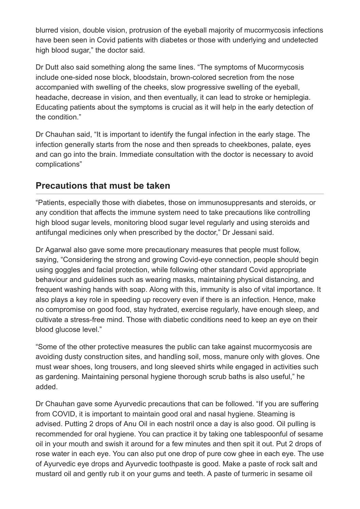blurred vision, double vision, protrusion of the eyeball majority of mucormycosis infections have been seen in Covid patients with diabetes or those with underlying and undetected high blood sugar," the doctor said.

Dr Dutt also said something along the same lines. "The symptoms of Mucormycosis include one-sided nose block, bloodstain, brown-colored secretion from the nose accompanied with swelling of the cheeks, slow progressive swelling of the eyeball, headache, decrease in vision, and then eventually, it can lead to stroke or hemiplegia. Educating patients about the symptoms is crucial as it will help in the early detection of the condition."

Dr Chauhan said, "It is important to identify the fungal infection in the early stage. The infection generally starts from the nose and then spreads to cheekbones, palate, eyes and can go into the brain. Immediate consultation with the doctor is necessary to avoid complications"

### **Precautions that must be taken**

"Patients, especially those with diabetes, those on immunosuppresants and steroids, or any condition that affects the immune system need to take precautions like controlling high blood sugar levels, monitoring blood sugar level regularly and using steroids and antifungal medicines only when prescribed by the doctor," Dr Jessani said.

Dr Agarwal also gave some more precautionary measures that people must follow, saying, "Considering the strong and growing Covid-eye connection, people should begin using goggles and facial protection, while following other standard Covid appropriate behaviour and guidelines such as wearing masks, maintaining physical distancing, and frequent washing hands with soap. Along with this, immunity is also of vital importance. It also plays a key role in speeding up recovery even if there is an infection. Hence, make no compromise on good food, stay hydrated, exercise regularly, have enough sleep, and cultivate a stress-free mind. Those with diabetic conditions need to keep an eye on their blood glucose level."

"Some of the other protective measures the public can take against mucormycosis are avoiding dusty construction sites, and handling soil, moss, manure only with gloves. One must wear shoes, long trousers, and long sleeved shirts while engaged in activities such as gardening. Maintaining personal hygiene thorough scrub baths is also useful," he added.

Dr Chauhan gave some Ayurvedic precautions that can be followed. "If you are suffering from COVID, it is important to maintain good oral and nasal hygiene. Steaming is advised. Putting 2 drops of Anu Oil in each nostril once a day is also good. Oil pulling is recommended for oral hygiene. You can practice it by taking one tablespoonful of sesame oil in your mouth and swish it around for a few minutes and then spit it out. Put 2 drops of rose water in each eye. You can also put one drop of pure cow ghee in each eye. The use of Ayurvedic eye drops and Ayurvedic toothpaste is good. Make a paste of rock salt and mustard oil and gently rub it on your gums and teeth. A paste of turmeric in sesame oil